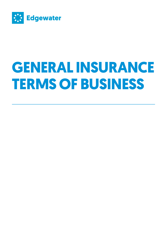

# **General insurance TERMS OF BUSINESS**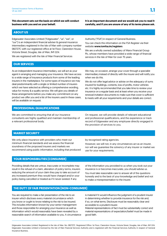**This document sets out the basis on which we will conduct business with you and on your behalf.** 

**It is an important document and we would ask you to read it carefully, and if you are unsure of any of its terms please ask.**

# **About us**

Edgewater Associates Limited ("Edgewater", "us", "we", or "our") is an independent financial adviser & general insurance intermediary registered in the Isle of Man with company number 082727C with our registered office at 1st Floor, Clarendon House, Victoria Street, Douglas, Isle of Man, IM1 2LN.

We are registered with the Isle of Man Financial Services

Authority ("FSA") in respect of General Business.

You can check this information on the FSA Register via their website www.iomfsa.im/registers

We are a wholly owned subsidiary of Manx Financial Group Plc, whose members have provided a wide range of financial services in the Isle of Man for over 75 years.

# **Our services**

As an independent insurance intermediary, we will act as your agent in arranging and managing your insurance. We have access to a wide range of insurance products from some of the leading insurers in the marketplace. For some types of insurance we may deal predominantly with a single or limited number of insurers which we have selected as offering a comprehensive wording, value for money & a quality service. We will give you details of these arrangements before you make any commitment on any product we offer you and a list of the insurers used in these cases, will be available on request.

We may, on occasion, arrange your cover through a specialist intermediary instead of directly with the insurer and will notify you when we do this.

We do not offer legal advice or advise on the adequacy of sums insured for buildings, contents, loss of profits, motor vehicles etc. It is highly recommended that you take time to review your insurance on a regular basis and at least when you receive your renewal invitation documents to make sure that cover is sufficient & meets with all your requirements and your details are correct.

# **PROFESSIONAL QUALIFICATIONS**

We are committed to ensuring that all our insurance consultants are highly qualified and maintain membership of a relevant professional body.

On request, we will provide details of relevant educational and professional qualifications, and the experience or track record of Edgewater and any employee directly engaged in the provision of services to you.

### **Market security**

We only place insurance with providers who meet our minimum financial standards and we assess the financial soundness of the proposed insurers and markets we recommend using public information, including that produced by recognised rating agencies.

However, we will not, in any circumstances act as an insurer, nor will we guarantee the solvency of any insurer or market we use for your requirements.

### **Your responsibilities (consumer)**

Providing details that are untrue, inaccurate or incomplete may result in the refusal of a claim, alteration of policy terms, insurers reducing the amount of your claim they pay to take account of any increased premium they would have charged and/or your policy being cancelled or treated as if it never existed. If any

of the information you provided to us when you took out your insurance is or becomes inaccurate, you should advise us.

You must take reasonable care to answer all of the questions honestly and to the best of your knowledge and belief and not to make a misrepresentation to the insurer.

### **The duty of fair presentation (non-consumer)**

You are required to make a fair presentation of the risk to an insurer which discloses every material circumstance which you know or ought to know relating to the risk to be insured. This includes information known by your senior management and those responsible for arranging your insurance as well as information which would reasonably have been revealed by a reasonable search of information available to you. A circumstance is material if it would influence the judgment of a prudent insurer in determining whether to provide insurance for the risk and, if so, on what terms. Disclosure must be reasonably clear and accessible to a prudent insurer.

Material representations of fact must be substantially correct and material representations of expectation/belief must be made in good faith.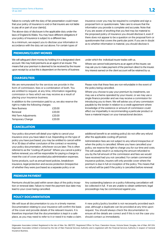Failure to comply with the duty of fair presentation could mean that your policy of insurance is void or that insurers are not liable to pay all or part of your claim(s).

The above duty of disclosure is the applicable duty under the laws of England & Wales. You may have different obligations if your policy of insurance is subject to a different law.

As a minimum, we expect you to disclose your information in accordance with the duty set out above. For certain types of

# **Premiums/Client monies**

We will safeguard client money by holding it in a designated client account. We may hold premiums as an agent of an insurer. This means that your premium is deemed to be received by the insurer upon receipt by us but this is dependent on the terms of business

under which the individual insurer trades with us.

Where we cannot hold premiums as an agent of the insurer, we may ask you to make payment of the premium direct to the insurer. Any interest earned on the client account will be retained by us.

insurance cover you may be required to complete and sign a proposal form or questionnaire. Take care to ensure that the information you provide is complete and accurate. Note that if you are aware of anything that you feel may be material to the proposed policy of insurance you should disclose it, even if there does not appear to be a question on the proposal form or questionnaire that covers the particular point. If you are in doubt as to whether information is material, you should disclose it.

# **Charges/Fees**

We are remunerated for the services we provide in the form of commission, fees or a combination of both. You are entitled to request, at any time, information regarding commission or fees which we may receive as a result of placing your insurance business.

In addition to the commission paid to us, we also reserve the right to make the following charges:

| New Business         | £20.00 |
|----------------------|--------|
| Renewal              | £20.00 |
| Mid Term Adjustments | £20.00 |
| Temporary Change     | £20.00 |

Please note that these fees are non-refundable in the event of the policy being cancelled.

Where you choose to pay your premium by instalments, we may use a scheme operated by your insurer, or we may use a single finance provider and we may receive a commission for introducing you to them. We will advise you of any commission payable by the lender in relation to a credit agreement where knowledge of the existence or amount of commission could affect our impartiality in recommending a particular product or have a material impact on your transactional decision.

# **Cancellation**

Your policy document will detail your rights to cancel your insurance once you have taken it out. Depending on the type of policy you have purchased, you may be entitled to cancel within 14 or 30 days of either conclusion of the contract or receiving your policy documentation, whichever occurs later. This is often referred to as the "cooling off period". Where you cancel a policy before renewal, you will be responsible for paying a charge to meet the cost of cover provided plus administration expenses.

Some products, such as annual travel policies, breakdown insurance, legal protection and excess protection (irrespective of whether they were purchased as a separate policy or an

additional benefit to an existing policy) do not offer any refund after the applicable cooling off period.

Administration fees are not subject to any refund irrespective of when the policy is cancelled. Where you have cancelled your policy, we reserve the right to charge you for our time and costs. This will usually result in us reducing the amount refunded to you by the full amount of the commission and fees we would have received had you not cancelled. For certain commercial insurance policies, insurers will only provide cover where the premium is due in full on inception of the policy. This means that no refund will be paid if the policy is cancelled before renewal.

# **Premium payment**

Premiums should be paid within seven days of the policy inception or renewal date. Failure to meet the payment due date may lead to your cover being cancelled.

Any outstanding balance on a policy following cancellation will be collected in full. If we are unable to obtain settlement, legal proceedings may be commenced against you.

### **Policy documentation**

We will issue all documentation to you in a timely manner. Documentation relating to your insurance will confirm the basis of the cover and provide details of the relevant insurers. It is therefore important that the documentation is kept in a safe place, as you may need to refer to it or need it to make a claim. A new policy/policy booklet is not necessarily provided each year, although a duplicate can be provided at any time upon request. You should always check the documentation to ensure all the details are correct and if this is not the case you should contact us immediately.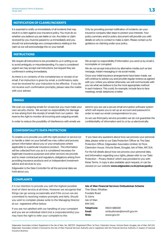# **Notification of claims/incidents**

It is essential to notify us immediately of all incidents that may result in a claim against your insurance policy. You must do so whether you believe you are liable or not. Any letter or claim received by you must be passed to us immediately and you should not acknowledge any correspondence relating to the claim as we will acknowledge this on your behalf.

Only by providing prompt notification of incidents can your insurance company take steps to protect your interests. Your policy summary and/or policy document will provide you with details on who to contact to make a claim. Please contact us for guidance on claiming under your policy.

# **Instructions**

We require all instructions to be provided to us in writing so as to avoid ambiguity or misunderstanding. If a case is considered urgent we may accept oral instructions, but request they are confirmed in writing immediately.

As there is no certainty of the completeness or receipt of an email, if an instruction is given by email, a confirmatory reply must be received for your instruction to be effective. If you do not receive such confirmation promptly, please raise the matter with your adviser.

We accept no responsibility if information you send us by email is incomplete or corrupted.

We do not accept instructions by alternative media such as text message, instant messaging or via social media.

Once your initial insurance arrangements have been made, we will continue to advise you and provide regular reviews as agreed with you. Unless you advise otherwise, we will communicate with you via what we believe to be the most appropriate method in each instance. This could, for example, include face to face meetings, email, telephone or letter.

# **Emails**

We scan our outgoing emails for viruses but you must make your own security checks. We accept no responsibility for damage or loss arising from the receipt of emails from our system. We reserve the right to monitor all incoming and outgoing emails.

In order to reduce the possibility of interference with emails we

# **Confidentiality/Data Protection**

To enable us to provide you with the right product or service (or to handle a claim on your behalf) we may collect and process person information about you or your employees where applicable to a particular insurance product. This information will be collected from you as it is considered necessary for legitimate insurance purposes and other services we provide and to meet contractual and regulatory obligations arising from providing insurance products and or independent investment advice and services to you.

Edgewater is the Data Controller for all the personal data we hold about you.

send to you we use a secure email encryption software system which will require you to set up an account and password in order to read our email correspondence to you.

As we use third party service providers we do not quarantee the confidentiality of information sent to or by us electronically.

 If you have any questions about how we process your personal data, please write to our Data Protection Officer at: The Data Protection Officer, Edgewater Associates Limited, 1st Floor, Clarendon House, Victoria Street, Douglas, Isle of Man, IM1 2LN.

For the full details about how we process your personal data, and information regarding your rights, please refer to our 'Data Protection – Privacy Notice' which was provided to you with these Terms. A copy is also available upon request, or can be viewed on our website www.edgewater.co.im/privacypolicy

### **Complaints**

It is our intention to provide you with the highest possible level of client service at all times. However we recognise that things can go wrong occasionally and if this occurs we are committed to resolving matters promptly and fairly. Should you wish to complain please write to the Managing Director at our registered office below.

If you are not satisfied with our handling of your complaint and you are an individual client (not a corporate/entity) you may have the right to refer your complaint to the:

| Isle of Man Financial Services Ombudsman Scheme |                         |
|-------------------------------------------------|-------------------------|
| Thie Slieau Whallian                            |                         |
| Foxdale Road                                    |                         |
| St Johns                                        |                         |
| Isle of Man                                     |                         |
| IM4 3AS                                         |                         |
| Telephone:                                      | 01624 686500            |
| Email:                                          | ombudsman@iomoft.gov.im |
| Web:                                            | www.gov.im              |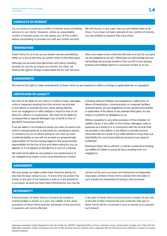# **Conflicts of interest**

It is our policy to avoid any conflict of interest when providing services to our clients. However, where an unavoidable conflict of interest arises, we will advise you of this conflict before proceeding to provide you with any further services.

We will ensure, in any case, that you are treated fairly at all times. If you have not been advised of any conflict of interest, you are entitled to assume that none arises.

# **Termination**

These Terms for us to act as your broker may be cancelled by either us or you at any time, by written notice to the other party.

Although we provide post-placement and claims handling services for you for as long as you remain our client, we reserve the right to charge a reasonable fee for such services when you cease to be a client but still wish us to act for you (and we are prepared to do so). Otherwise you will arrange and we will facilitate the prompt transfer of the run-off of your existing business and related claims to a successor broker or to you.

# **Amendments**

We reserve the right to make amendments to these Terms as are required to reflect a change of applicable law or regulation.

### **LIMITATIONS OF LIABILITY**

We will not be liable for any direct or indirect losses, damages, costs or expenses resulting from the services we provide or any failure to provide services unless arising directly from our negligence or wilful default or fraud (or that of our directors, officers or employees). We shall not be liable for consequential or special damages, loss of profit or loss of goodwill, howsoever arising,

If we are liable in circumstances where you have incurred a loss which is caused partly by us and partly by contributory actions or omissions by you or others acting for you, then our total combined liability to you will not exceed our proportionate responsibility for the loss having regard to the proportionate responsibility for the loss of you and others acting for you, as agreed, or if not agreed, as decided by a court or a tribunal.

We shall not be liable for any partial or non-performance of our obligations by reason of any cause beyond our control, including without limitation any breakdown, malfunction or failure of transmission, communication or computer facilities, industrial action, act and regulations of any government bodies or authorities of the failure of any relevant third party, for any reason, to perform its obligations to us.

Without prejudice to any other provision of this Limitation of Liability clause, if you suffer or incur losses, damages, costs or expenses as a result of or in connection with the services that we provide or any failure or any failure to provide services otherwise than as a result of our wilful default or fraud, then out total liability for such losses shall not exceed a sum equal to £1,000,000.

Nothing in these Terms will limit, or will be construed as limiting, our liability for death or personal injury resulting from our negligence.

### **Assignment**

We may assign our rights under these Terms by giving not less than 60 days' notice to you. If at any time we and/or the whole or any part of our business is sold or in any passed to a successor, all work we have been instructed by you may be carried out by such successor and references to Edgewater Associates Limited in these Terms shall be from the date of such transfer be interpreted as being to the successor.

### **SEVERABILITY**

If any provision of these Terms is found to be invalid or unenforceable in whole or in part, the validity of the other provisions of these Terms and the remainder of the provision in question will not be affected.

If any part of these Terms is found to be in breach of any rule of the Isle of Man Financial Services Authority that part of these Terms will be construed in such a manner as to prevent such breach.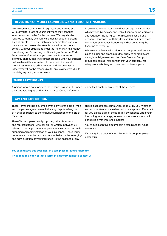# **Prevention of Money Laundering and Terrorist Financing**

We are committed to the fight against financial crime and will ask you for proof of your identity and may conduct searches and enquiries for this purpose. We may also be required to identify and verify the identity of other persons such as directors or beneficial owners, or any third party to the transaction. We undertake this procedure in order to comply with our obligations under the Isle of Man Anti-Money Laundering and Countering the Financing of Terrorism Code 2019. We therefore ask that you provide this information promptly on request as we cannot proceed with your business until we have this information. In the event of a delay in providing the requested information and documentation Edgewater will not be responsible for any loss incurred due to the delay in placing your insurance.

In providing our services we will not engage in any activity which would breach any applicable financial crime legislation and regulation including but not limited to financial and economic sanctions, facilitating tax evasion, anti-bribery and corruption, anti-money laundering and/or combating the financing of terrorism.

We have no tolerance for bribery or corruption and have in place policies and procedures that apply to all employees throughout Edgewater and the Manx Financial Group plc, group companies. You, confirm that your company has adequate anti-bribery and corruption polices in place.

### **Third Party Rights**

A person who is not a party to these Terms has no right under the Contracts (Rights of Third Parties) Act 2001 to enforce or

enjoy the benefit of any term of these Terms.

### **Law and Jurisdiction**

These Terms shall be governed by the laws of the Isle of Man and the parties agree herewith that any dispute arising out of it shall be subject to the exclusive jurisdiction of the Isle of Man courts.

These Terms supersede all proposals, prior discussions and representations (whether oral or written) between us relating to our appointment as your agent in connection with arranging and administration of your insurance. These Terms constitute an offer by us to act on your behalf in the arranging and administration of your insurance. In the absence of any

specific acceptance communicated to us by you (whether verbal or written) you are deemed to accept our offer to act for you on the basis of these Terms, by conduct, upon your instructing us to arrange, renew or otherwise act for you in connection with insurance matters.

You should keep this document in a safe place for future reference.

If you require a copy of these Terms in larger print please contact us.

You should keep this document in a safe place for future reference. If you require a copy of these Terms in bigger print please contact us.